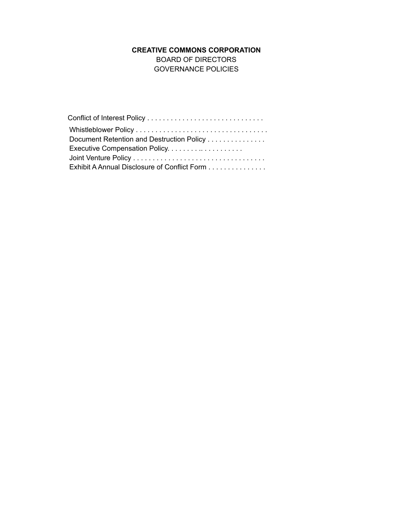# **CREATIVE COMMONS CORPORATION**

BOARD OF DIRECTORS GOVERNANCE POLICIES

| Document Retention and Destruction Policy    |
|----------------------------------------------|
|                                              |
|                                              |
| Exhibit A Annual Disclosure of Conflict Form |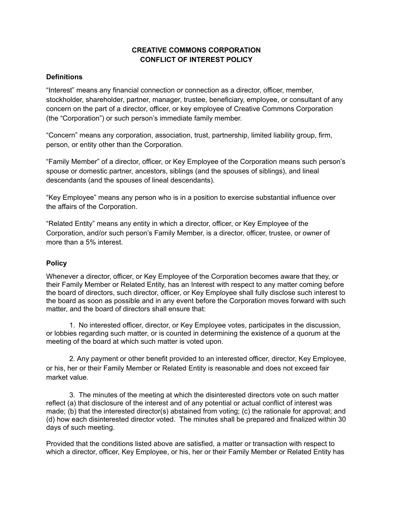# **CREATIVE COMMONS CORPORATION CONFLICT OF INTEREST POLICY**

### **Definitions**

"Interest" means any financial connection or connection as a director, officer, member, stockholder, shareholder, partner, manager, trustee, beneficiary, employee, or consultant of any concern on the part of a director, officer, or key employee of Creative Commons Corporation (the "Corporation") or such person's immediate family member.

"Concern" means any corporation, association, trust, partnership, limited liability group, firm, person, or entity other than the Corporation.

"Family Member" of a director, officer, or Key Employee of the Corporation means such person's spouse or domestic partner, ancestors, siblings (and the spouses of siblings), and lineal descendants (and the spouses of lineal descendants).

"Key Employee" means any person who is in a position to exercise substantial influence over the affairs of the Corporation.

"Related Entity" means any entity in which a director, officer, or Key Employee of the Corporation, and/or such person's Family Member, is a director, officer, trustee, or owner of more than a 5% interest.

# **Policy**

Whenever a director, officer, or Key Employee of the Corporation becomes aware that they, or their Family Member or Related Entity, has an Interest with respect to any matter coming before the board of directors, such director, officer, or Key Employee shall fully disclose such interest to the board as soon as possible and in any event before the Corporation moves forward with such matter, and the board of directors shall ensure that:

1. No interested officer, director, or Key Employee votes, participates in the discussion, or lobbies regarding such matter, or is counted in determining the existence of a quorum at the meeting of the board at which such matter is voted upon.

2. Any payment or other benefit provided to an interested officer, director, Key Employee, or his, her or their Family Member or Related Entity is reasonable and does not exceed fair market value.

3. The minutes of the meeting at which the disinterested directors vote on such matter reflect (a) that disclosure of the interest and of any potential or actual conflict of interest was made; (b) that the interested director(s) abstained from voting; (c) the rationale for approval; and (d) how each disinterested director voted. The minutes shall be prepared and finalized within 30 days of such meeting.

Provided that the conditions listed above are satisfied, a matter or transaction with respect to which a director, officer, Key Employee, or his, her or their Family Member or Related Entity has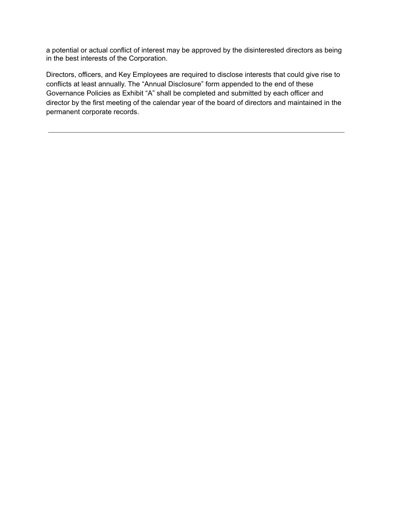a potential or actual conflict of interest may be approved by the disinterested directors as being in the best interests of the Corporation.

Directors, officers, and Key Employees are required to disclose interests that could give rise to conflicts at least annually. The "Annual Disclosure" form appended to the end of these Governance Policies as Exhibit "A" shall be completed and submitted by each officer and director by the first meeting of the calendar year of the board of directors and maintained in the permanent corporate records.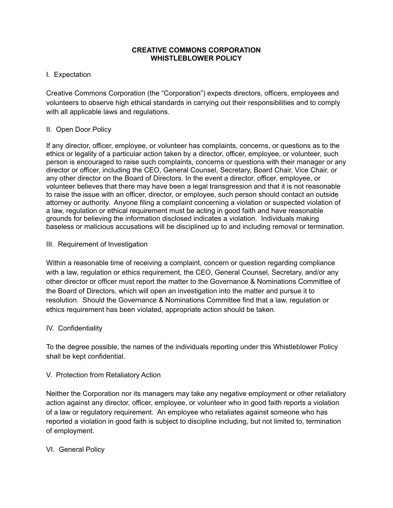### **CREATIVE COMMONS CORPORATION WHISTLEBLOWER POLICY**

# I. Expectation

Creative Commons Corporation (the "Corporation") expects directors, officers, employees and volunteers to observe high ethical standards in carrying out their responsibilities and to comply with all applicable laws and regulations.

### II. Open Door Policy

If any director, officer, employee, or volunteer has complaints, concerns, or questions as to the ethics or legality of a particular action taken by a director, officer, employee, or volunteer, such person is encouraged to raise such complaints, concerns or questions with their manager or any director or officer, including the CEO, General Counsel, Secretary, Board Chair, Vice Chair, or any other director on the Board of Directors. In the event a director, officer, employee, or volunteer believes that there may have been a legal transgression and that it is not reasonable to raise the issue with an officer, director, or employee, such person should contact an outside attorney or authority. Anyone filing a complaint concerning a violation or suspected violation of a law, regulation or ethical requirement must be acting in good faith and have reasonable grounds for believing the information disclosed indicates a violation. Individuals making baseless or malicious accusations will be disciplined up to and including removal or termination.

#### III. Requirement of Investigation

Within a reasonable time of receiving a complaint, concern or question regarding compliance with a law, regulation or ethics requirement, the CEO, General Counsel, Secretary, and/or any other director or officer must report the matter to the Governance & Nominations Committee of the Board of Directors, which will open an investigation into the matter and pursue it to resolution. Should the Governance & Nominations Committee find that a law, regulation or ethics requirement has been violated, appropriate action should be taken.

### IV. Confidentiality

To the degree possible, the names of the individuals reporting under this Whistleblower Policy shall be kept confidential.

### V. Protection from Retaliatory Action

Neither the Corporation nor its managers may take any negative employment or other retaliatory action against any director, officer, employee, or volunteer who in good faith reports a violation of a law or regulatory requirement. An employee who retaliates against someone who has reported a violation in good faith is subject to discipline including, but not limited to, termination of employment.

# VI. General Policy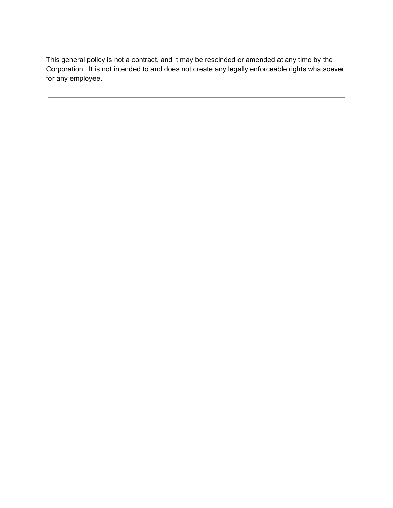This general policy is not a contract, and it may be rescinded or amended at any time by the Corporation. It is not intended to and does not create any legally enforceable rights whatsoever for any employee.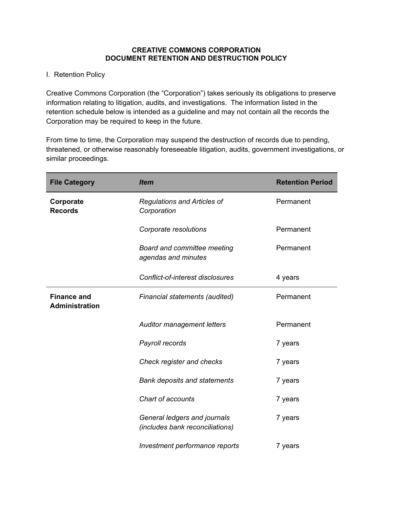#### **CREATIVE COMMONS CORPORATION DOCUMENT RETENTION AND DESTRUCTION POLICY**

## I. Retention Policy

Creative Commons Corporation (the "Corporation") takes seriously its obligations to preserve information relating to litigation, audits, and investigations. The information listed in the retention schedule below is intended as a guideline and may not contain all the records the Corporation may be required to keep in the future.

From time to time, the Corporation may suspend the destruction of records due to pending, threatened, or otherwise reasonably foreseeable litigation, audits, government investigations, or similar proceedings.

| <b>File Category</b>                        | <b>Item</b>                                                     | <b>Retention Period</b> |
|---------------------------------------------|-----------------------------------------------------------------|-------------------------|
| Corporate<br><b>Records</b>                 | <b>Regulations and Articles of</b><br>Corporation               | Permanent               |
|                                             | Corporate resolutions                                           | Permanent               |
|                                             | Board and committee meeting<br>agendas and minutes              | Permanent               |
|                                             | Conflict-of-interest disclosures                                | 4 years                 |
| <b>Finance and</b><br><b>Administration</b> | Financial statements (audited)                                  | Permanent               |
|                                             | <b>Auditor management letters</b>                               | Permanent               |
|                                             | Payroll records                                                 | 7 years                 |
|                                             | Check register and checks                                       | 7 years                 |
|                                             | <b>Bank deposits and statements</b>                             | 7 years                 |
|                                             | Chart of accounts                                               | 7 years                 |
|                                             | General ledgers and journals<br>(includes bank reconciliations) | 7 years                 |
|                                             | Investment performance reports                                  | 7 years                 |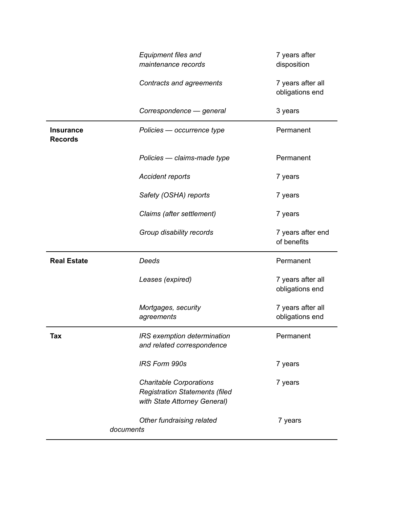|                                    | Equipment files and<br>maintenance records                                                              | 7 years after<br>disposition         |  |
|------------------------------------|---------------------------------------------------------------------------------------------------------|--------------------------------------|--|
|                                    | Contracts and agreements                                                                                | 7 years after all<br>obligations end |  |
|                                    | Correspondence - general                                                                                | 3 years                              |  |
| <b>Insurance</b><br><b>Records</b> | Policies - occurrence type                                                                              | Permanent                            |  |
|                                    | Policies - claims-made type                                                                             | Permanent                            |  |
|                                    | <b>Accident reports</b>                                                                                 | 7 years                              |  |
|                                    | Safety (OSHA) reports                                                                                   | 7 years                              |  |
|                                    | Claims (after settlement)                                                                               | 7 years                              |  |
|                                    | Group disability records                                                                                | 7 years after end<br>of benefits     |  |
| <b>Real Estate</b>                 | Deeds                                                                                                   | Permanent                            |  |
|                                    | Leases (expired)                                                                                        | 7 years after all<br>obligations end |  |
|                                    | Mortgages, security<br>agreements                                                                       | 7 years after all<br>obligations end |  |
| Tax                                | IRS exemption determination<br>and related correspondence                                               | Permanent                            |  |
|                                    | <b>IRS Form 990s</b>                                                                                    | 7 years                              |  |
|                                    | <b>Charitable Corporations</b><br><b>Registration Statements (filed</b><br>with State Attorney General) | 7 years                              |  |
| documents                          | Other fundraising related                                                                               | 7 years                              |  |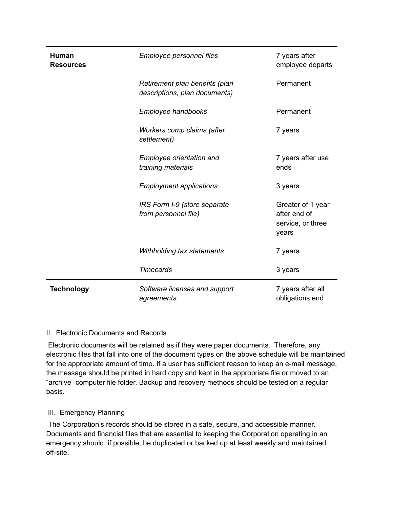| <b>Human</b><br><b>Resources</b> | Employee personnel files                                        | 7 years after<br>employee departs                               |  |
|----------------------------------|-----------------------------------------------------------------|-----------------------------------------------------------------|--|
|                                  | Retirement plan benefits (plan<br>descriptions, plan documents) | Permanent                                                       |  |
|                                  | Employee handbooks                                              | Permanent                                                       |  |
|                                  | Workers comp claims (after<br>settlement)                       | 7 years                                                         |  |
|                                  | Employee orientation and<br>training materials                  | 7 years after use<br>ends                                       |  |
|                                  | <b>Employment applications</b>                                  | 3 years                                                         |  |
|                                  | IRS Form I-9 (store separate<br>from personnel file)            | Greater of 1 year<br>after end of<br>service, or three<br>years |  |
|                                  | Withholding tax statements                                      | 7 years                                                         |  |
|                                  | <b>Timecards</b>                                                | 3 years                                                         |  |
| <b>Technology</b>                | Software licenses and support<br>agreements                     | 7 years after all<br>obligations end                            |  |

# II. Electronic Documents and Records

Electronic documents will be retained as if they were paper documents. Therefore, any electronic files that fall into one of the document types on the above schedule will be maintained for the appropriate amount of time. If a user has sufficient reason to keep an e-mail message, the message should be printed in hard copy and kept in the appropriate file or moved to an "archive" computer file folder. Backup and recovery methods should be tested on a regular basis.

# III. Emergency Planning

The Corporation's records should be stored in a safe, secure, and accessible manner. Documents and financial files that are essential to keeping the Corporation operating in an emergency should, if possible, be duplicated or backed up at least weekly and maintained off-site.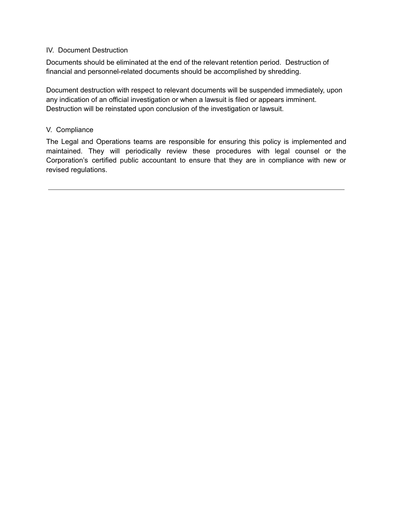### IV. Document Destruction

Documents should be eliminated at the end of the relevant retention period. Destruction of financial and personnel-related documents should be accomplished by shredding.

Document destruction with respect to relevant documents will be suspended immediately, upon any indication of an official investigation or when a lawsuit is filed or appears imminent. Destruction will be reinstated upon conclusion of the investigation or lawsuit.

# V. Compliance

The Legal and Operations teams are responsible for ensuring this policy is implemented and maintained. They will periodically review these procedures with legal counsel or the Corporation's certified public accountant to ensure that they are in compliance with new or revised regulations.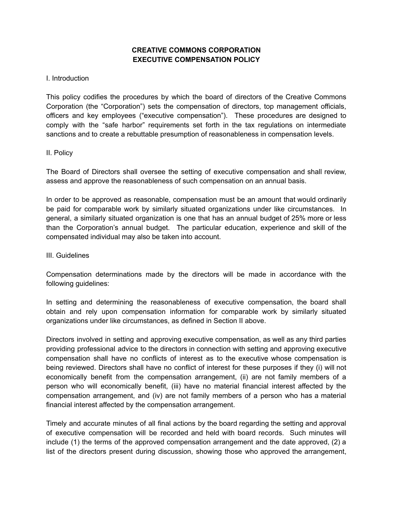# **CREATIVE COMMONS CORPORATION EXECUTIVE COMPENSATION POLICY**

#### I. Introduction

This policy codifies the procedures by which the board of directors of the Creative Commons Corporation (the "Corporation") sets the compensation of directors, top management officials, officers and key employees ("executive compensation"). These procedures are designed to comply with the "safe harbor" requirements set forth in the tax regulations on intermediate sanctions and to create a rebuttable presumption of reasonableness in compensation levels.

#### II. Policy

The Board of Directors shall oversee the setting of executive compensation and shall review, assess and approve the reasonableness of such compensation on an annual basis.

In order to be approved as reasonable, compensation must be an amount that would ordinarily be paid for comparable work by similarly situated organizations under like circumstances. In general, a similarly situated organization is one that has an annual budget of 25% more or less than the Corporation's annual budget. The particular education, experience and skill of the compensated individual may also be taken into account.

#### III. Guidelines

Compensation determinations made by the directors will be made in accordance with the following guidelines:

In setting and determining the reasonableness of executive compensation, the board shall obtain and rely upon compensation information for comparable work by similarly situated organizations under like circumstances, as defined in Section II above.

Directors involved in setting and approving executive compensation, as well as any third parties providing professional advice to the directors in connection with setting and approving executive compensation shall have no conflicts of interest as to the executive whose compensation is being reviewed. Directors shall have no conflict of interest for these purposes if they (i) will not economically benefit from the compensation arrangement, (ii) are not family members of a person who will economically benefit, (iii) have no material financial interest affected by the compensation arrangement, and (iv) are not family members of a person who has a material financial interest affected by the compensation arrangement.

Timely and accurate minutes of all final actions by the board regarding the setting and approval of executive compensation will be recorded and held with board records. Such minutes will include (1) the terms of the approved compensation arrangement and the date approved, (2) a list of the directors present during discussion, showing those who approved the arrangement,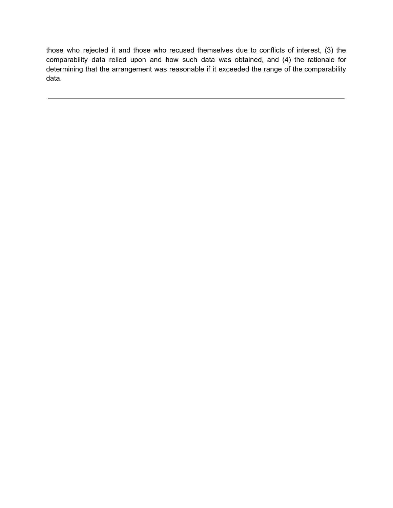those who rejected it and those who recused themselves due to conflicts of interest, (3) the comparability data relied upon and how such data was obtained, and (4) the rationale for determining that the arrangement was reasonable if it exceeded the range of the comparability data.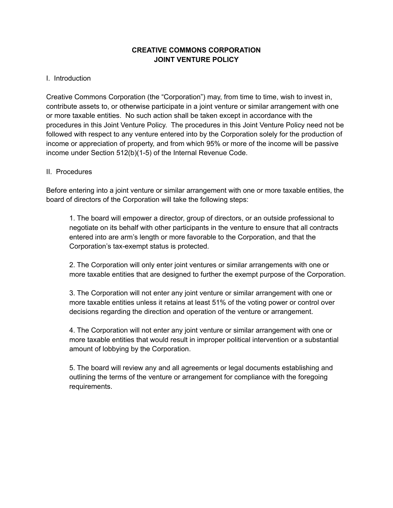# **CREATIVE COMMONS CORPORATION JOINT VENTURE POLICY**

## I. Introduction

Creative Commons Corporation (the "Corporation") may, from time to time, wish to invest in, contribute assets to, or otherwise participate in a joint venture or similar arrangement with one or more taxable entities. No such action shall be taken except in accordance with the procedures in this Joint Venture Policy. The procedures in this Joint Venture Policy need not be followed with respect to any venture entered into by the Corporation solely for the production of income or appreciation of property, and from which 95% or more of the income will be passive income under Section 512(b)(1-5) of the Internal Revenue Code.

## II. Procedures

Before entering into a joint venture or similar arrangement with one or more taxable entities, the board of directors of the Corporation will take the following steps:

1. The board will empower a director, group of directors, or an outside professional to negotiate on its behalf with other participants in the venture to ensure that all contracts entered into are arm's length or more favorable to the Corporation, and that the Corporation's tax-exempt status is protected.

2. The Corporation will only enter joint ventures or similar arrangements with one or more taxable entities that are designed to further the exempt purpose of the Corporation.

3. The Corporation will not enter any joint venture or similar arrangement with one or more taxable entities unless it retains at least 51% of the voting power or control over decisions regarding the direction and operation of the venture or arrangement.

4. The Corporation will not enter any joint venture or similar arrangement with one or more taxable entities that would result in improper political intervention or a substantial amount of lobbying by the Corporation.

5. The board will review any and all agreements or legal documents establishing and outlining the terms of the venture or arrangement for compliance with the foregoing requirements.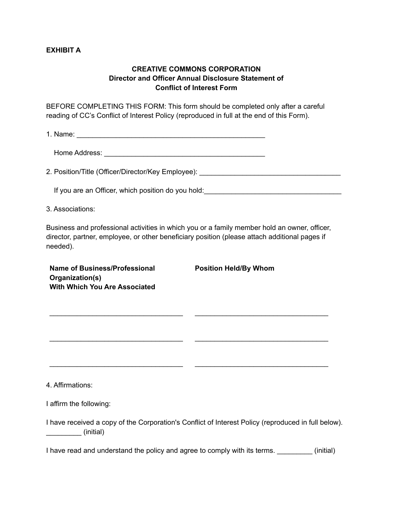## **EXHIBIT A**

# **CREATIVE COMMONS CORPORATION Director and Officer Annual Disclosure Statement of Conflict of Interest Form**

BEFORE COMPLETING THIS FORM: This form should be completed only after a careful reading of CC's Conflict of Interest Policy (reproduced in full at the end of this Form).

1. Name:  $\blacksquare$ 

Home Address: **with a set of the set of the set of the set of the set of the set of the set of the set of the set of the set of the set of the set of the set of the set of the set of the set of the set of the set of the se** 

2. Position/Title (Officer/Director/Key Employee): \_\_\_\_\_\_\_\_\_\_\_\_\_\_\_\_\_\_\_\_\_\_\_\_\_\_\_\_\_

If you are an Officer, which position do you hold: **Will are an International Control of the United States** 

3. Associations:

Business and professional activities in which you or a family member hold an owner, officer, director, partner, employee, or other beneficiary position (please attach additional pages if needed).

\_\_\_\_\_\_\_\_\_\_\_\_\_\_\_\_\_\_\_\_\_\_\_\_\_\_\_\_\_\_\_\_\_\_ \_\_\_\_\_\_\_\_\_\_\_\_\_\_\_\_\_\_\_\_\_\_\_\_\_\_\_\_\_\_\_\_\_\_

\_\_\_\_\_\_\_\_\_\_\_\_\_\_\_\_\_\_\_\_\_\_\_\_\_\_\_\_\_\_\_\_\_\_ \_\_\_\_\_\_\_\_\_\_\_\_\_\_\_\_\_\_\_\_\_\_\_\_\_\_\_\_\_\_\_\_\_\_

\_\_\_\_\_\_\_\_\_\_\_\_\_\_\_\_\_\_\_\_\_\_\_\_\_\_\_\_\_\_\_\_\_\_ \_\_\_\_\_\_\_\_\_\_\_\_\_\_\_\_\_\_\_\_\_\_\_\_\_\_\_\_\_\_\_\_\_\_

**Name of Business/Professional Organization(s) With Which You Are Associated**

**Position Held/By Whom**

4. Affirmations:

I affirm the following:

| I have received a copy of the Corporation's Conflict of Interest Policy (reproduced in full below). |  |  |
|-----------------------------------------------------------------------------------------------------|--|--|
| (initial)                                                                                           |  |  |

I have read and understand the policy and agree to comply with its terms. \_\_\_\_\_\_\_\_\_\_ (initial)